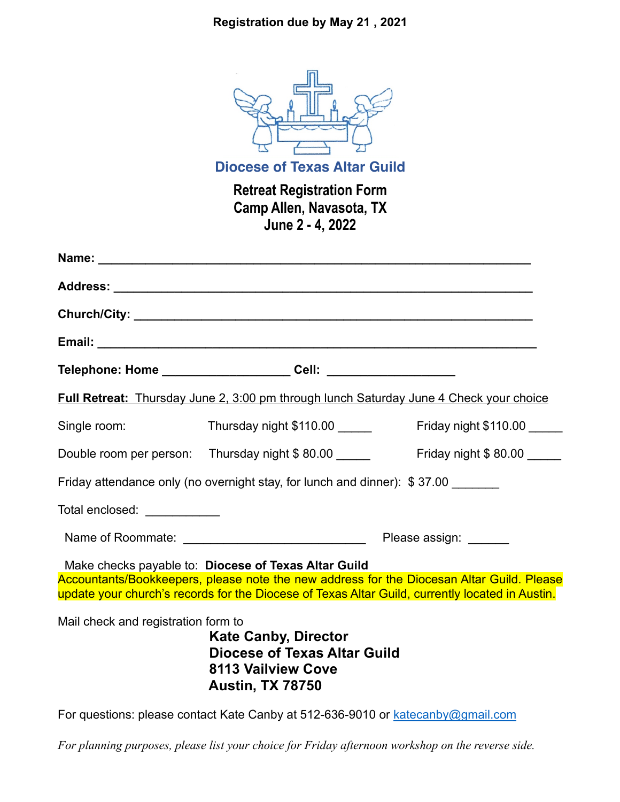## **Registration due by May 21 , 2021**



**Diocese of Texas Altar Guild**

**Retreat Registration Form Camp Allen, Navasota, TX June 2 - 4, 2022**

|                                                                                                                                                                                                                                                      | Full Retreat: Thursday June 2, 3:00 pm through lunch Saturday June 4 Check your choice                                     |                             |  |  |
|------------------------------------------------------------------------------------------------------------------------------------------------------------------------------------------------------------------------------------------------------|----------------------------------------------------------------------------------------------------------------------------|-----------------------------|--|--|
| Single room:                                                                                                                                                                                                                                         | Thursday night \$110.00                                                                                                    | Friday night \$110.00 _____ |  |  |
|                                                                                                                                                                                                                                                      | Double room per person: Thursday night \$80.00                                                                             | Friday night \$ 80.00       |  |  |
| Friday attendance only (no overnight stay, for lunch and dinner): \$37.00 ______                                                                                                                                                                     |                                                                                                                            |                             |  |  |
| Total enclosed: \\\essiming=\\\end{math}\$                                                                                                                                                                                                           |                                                                                                                            |                             |  |  |
|                                                                                                                                                                                                                                                      |                                                                                                                            |                             |  |  |
| Make checks payable to: Diocese of Texas Altar Guild<br>Accountants/Bookkeepers, please note the new address for the Diocesan Altar Guild. Please<br>update your church's records for the Diocese of Texas Altar Guild, currently located in Austin. |                                                                                                                            |                             |  |  |
| Mail check and registration form to                                                                                                                                                                                                                  | <b>Kate Canby, Director</b><br><b>Diocese of Texas Altar Guild</b><br><b>8113 Vailview Cove</b><br><b>Austin, TX 78750</b> |                             |  |  |

For questions: please contact Kate Canby at 512-636-9010 or katecanby@gmail.com

*For planning purposes, please list your choice for Friday afternoon workshop on the reverse side.*